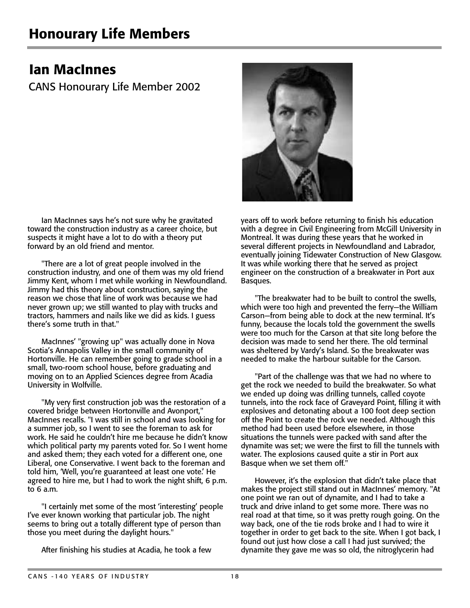## Ian MacInnes

CANS Honourary Life Member 2002

Ian MacInnes says he's not sure why he gravitated toward the construction industry as a career choice, but suspects it might have a lot to do with a theory put forward by an old friend and mentor.

"There are a lot of great people involved in the construction industry, and one of them was my old friend Jimmy Kent, whom I met while working in Newfoundland. Jimmy had this theory about construction, saying the reason we chose that line of work was because we had never grown up; we still wanted to play with trucks and tractors, hammers and nails like we did as kids. I guess there's some truth in that."

MacInnes' "growing up" was actually done in Nova Scotia's Annapolis Valley in the small community of Hortonville. He can remember going to grade school in a small, two-room school house, before graduating and moving on to an Applied Sciences degree from Acadia University in Wolfville.

"My very first construction job was the restoration of a covered bridge between Hortonville and Avonport," MacInnes recalls. "I was still in school and was looking for a summer job, so I went to see the foreman to ask for work. He said he couldn't hire me because he didn't know which political party my parents voted for. So I went home and asked them; they each voted for a different one, one Liberal, one Conservative. I went back to the foreman and told him, 'Well, you're guaranteed at least one vote.' He agreed to hire me, but I had to work the night shift, 6 p.m. to  $6$  a.m.

"I certainly met some of the most 'interesting' people I've ever known working that particular job. The night seems to bring out a totally different type of person than those you meet during the daylight hours."

After finishing his studies at Acadia, he took a few



years off to work before returning to finish his education with a degree in Civil Engineering from McGill University in Montreal. It was during these years that he worked in several different projects in Newfoundland and Labrador, eventually joining Tidewater Construction of New Glasgow. It was while working there that he served as project engineer on the construction of a breakwater in Port aux Basques.

"The breakwater had to be built to control the swells, which were too high and prevented the ferry—the William Carson—from being able to dock at the new terminal. It's funny, because the locals told the government the swells were too much for the Carson at that site long before the decision was made to send her there. The old terminal was sheltered by Vardy's Island. So the breakwater was needed to make the harbour suitable for the Carson.

"Part of the challenge was that we had no where to get the rock we needed to build the breakwater. So what we ended up doing was drilling tunnels, called coyote tunnels, into the rock face of Graveyard Point, filling it with explosives and detonating about a 100 foot deep section off the Point to create the rock we needed. Although this method had been used before elsewhere, in those situations the tunnels were packed with sand after the dynamite was set; we were the first to fill the tunnels with water. The explosions caused quite a stir in Port aux Basque when we set them off."

However, it's the explosion that didn't take place that makes the project still stand out in MacInnes' memory. "At one point we ran out of dynamite, and I had to take a truck and drive inland to get some more. There was no real road at that time, so it was pretty rough going. On the way back, one of the tie rods broke and I had to wire it together in order to get back to the site. When I got back, I found out just how close a call I had just survived; the dynamite they gave me was so old, the nitroglycerin had